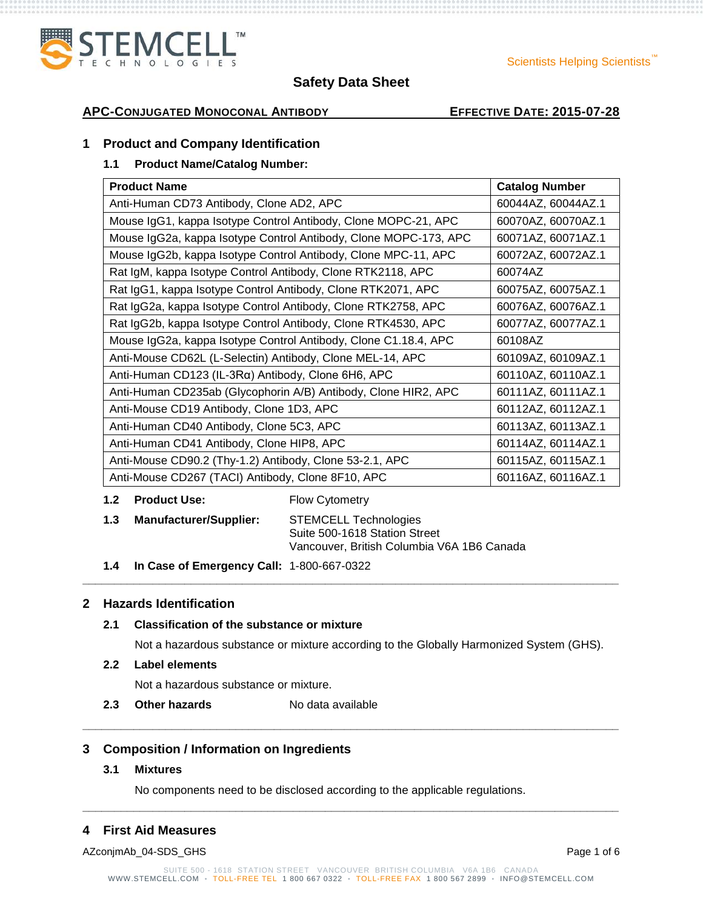

# **APC-CONJUGATED MONOCONAL ANTIBODY EFFECTIVE DATE: 2015-07-28**

# **1 Product and Company Identification**

# **1.1 Product Name/Catalog Number:**

| <b>Product Name</b>                                              | <b>Catalog Number</b> |
|------------------------------------------------------------------|-----------------------|
| Anti-Human CD73 Antibody, Clone AD2, APC                         | 60044AZ, 60044AZ.1    |
| Mouse IgG1, kappa Isotype Control Antibody, Clone MOPC-21, APC   | 60070AZ, 60070AZ.1    |
| Mouse IgG2a, kappa Isotype Control Antibody, Clone MOPC-173, APC | 60071AZ, 60071AZ.1    |
| Mouse IgG2b, kappa Isotype Control Antibody, Clone MPC-11, APC   | 60072AZ, 60072AZ.1    |
| Rat IgM, kappa Isotype Control Antibody, Clone RTK2118, APC      | 60074AZ               |
| Rat IgG1, kappa Isotype Control Antibody, Clone RTK2071, APC     | 60075AZ, 60075AZ.1    |
| Rat IgG2a, kappa Isotype Control Antibody, Clone RTK2758, APC    | 60076AZ, 60076AZ.1    |
| Rat IgG2b, kappa Isotype Control Antibody, Clone RTK4530, APC    | 60077AZ, 60077AZ.1    |
| Mouse IgG2a, kappa Isotype Control Antibody, Clone C1.18.4, APC  | 60108AZ               |
| Anti-Mouse CD62L (L-Selectin) Antibody, Clone MEL-14, APC        | 60109AZ, 60109AZ.1    |
| Anti-Human CD123 (IL-3Rα) Antibody, Clone 6H6, APC               | 60110AZ, 60110AZ.1    |
| Anti-Human CD235ab (Glycophorin A/B) Antibody, Clone HIR2, APC   | 60111AZ, 60111AZ.1    |
| Anti-Mouse CD19 Antibody, Clone 1D3, APC                         | 60112AZ, 60112AZ.1    |
| Anti-Human CD40 Antibody, Clone 5C3, APC                         | 60113AZ, 60113AZ.1    |
| Anti-Human CD41 Antibody, Clone HIP8, APC                        | 60114AZ, 60114AZ.1    |
| Anti-Mouse CD90.2 (Thy-1.2) Antibody, Clone 53-2.1, APC          | 60115AZ, 60115AZ.1    |
| Anti-Mouse CD267 (TACI) Antibody, Clone 8F10, APC                | 60116AZ, 60116AZ.1    |

#### **1.2 Product Use:** Flow Cytometry

| 1.3 | <b>Manufacturer/Supplier:</b> | <b>STEMCELL Technologies</b>               |
|-----|-------------------------------|--------------------------------------------|
|     |                               | Suite 500-1618 Station Street              |
|     |                               | Vancouver, British Columbia V6A 1B6 Canada |

**1.4 In Case of Emergency Call:** 1-800-667-0322

# **2 Hazards Identification**

# **2.1 Classification of the substance or mixture**

Not a hazardous substance or mixture according to the Globally Harmonized System (GHS).

**\_\_\_\_\_\_\_\_\_\_\_\_\_\_\_\_\_\_\_\_\_\_\_\_\_\_\_\_\_\_\_\_\_\_\_\_\_\_\_\_\_\_\_\_\_\_\_\_\_\_\_\_\_\_\_\_\_\_\_\_\_\_\_\_\_\_\_\_\_\_\_\_\_\_\_\_\_\_\_\_\_\_\_\_**

**\_\_\_\_\_\_\_\_\_\_\_\_\_\_\_\_\_\_\_\_\_\_\_\_\_\_\_\_\_\_\_\_\_\_\_\_\_\_\_\_\_\_\_\_\_\_\_\_\_\_\_\_\_\_\_\_\_\_\_\_\_\_\_\_\_\_\_\_\_\_\_\_\_\_\_\_\_\_\_\_\_\_\_\_**

#### **2.2 Label elements**

Not a hazardous substance or mixture.

**2.3 Other hazards** No data available

# **3 Composition / Information on Ingredients**

## **3.1 Mixtures**

No components need to be disclosed according to the applicable regulations.

# **4 First Aid Measures**

AZconjmAb\_04-SDS\_GHS Page 1 of 6

**\_\_\_\_\_\_\_\_\_\_\_\_\_\_\_\_\_\_\_\_\_\_\_\_\_\_\_\_\_\_\_\_\_\_\_\_\_\_\_\_\_\_\_\_\_\_\_\_\_\_\_\_\_\_\_\_\_\_\_\_\_\_\_\_\_\_\_\_\_\_\_\_\_\_\_\_\_\_\_\_\_\_\_\_**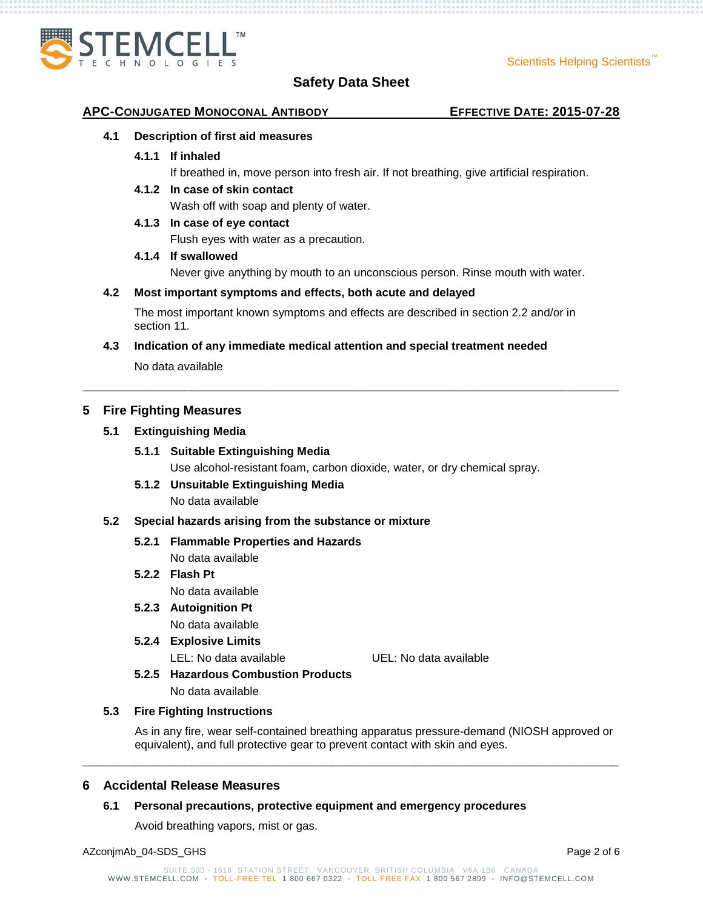

#### **APC-CONJUGATED MONOCONAL ANTIBODY EFFECTIVE DATE: 2015-07-28**

#### **4.1 Description of first aid measures**

**4.1.1 If inhaled**

If breathed in, move person into fresh air. If not breathing, give artificial respiration.

**4.1.2 In case of skin contact**

Wash off with soap and plenty of water.

**4.1.3 In case of eye contact**

Flush eyes with water as a precaution.

#### **4.1.4 If swallowed**

Never give anything by mouth to an unconscious person. Rinse mouth with water.

#### **4.2 Most important symptoms and effects, both acute and delayed**

The most important known symptoms and effects are described in section 2.2 and/or in section 11.

**\_\_\_\_\_\_\_\_\_\_\_\_\_\_\_\_\_\_\_\_\_\_\_\_\_\_\_\_\_\_\_\_\_\_\_\_\_\_\_\_\_\_\_\_\_\_\_\_\_\_\_\_\_\_\_\_\_\_\_\_\_\_\_\_\_\_\_\_\_\_\_\_\_\_\_\_\_\_\_\_\_\_\_\_**

**4.3 Indication of any immediate medical attention and special treatment needed**

No data available

# **5 Fire Fighting Measures**

# **5.1 Extinguishing Media**

### **5.1.1 Suitable Extinguishing Media**

Use alcohol-resistant foam, carbon dioxide, water, or dry chemical spray.

# **5.1.2 Unsuitable Extinguishing Media**

No data available

#### **5.2 Special hazards arising from the substance or mixture**

# **5.2.1 Flammable Properties and Hazards**

No data available

# **5.2.2 Flash Pt** No data available

# **5.2.3 Autoignition Pt**

No data available

**5.2.4 Explosive Limits**

LEL: No data available UEL: No data available

**5.2.5 Hazardous Combustion Products**

No data available

#### **5.3 Fire Fighting Instructions**

As in any fire, wear self-contained breathing apparatus pressure-demand (NIOSH approved or equivalent), and full protective gear to prevent contact with skin and eyes.

#### **6 Accidental Release Measures**

#### **6.1 Personal precautions, protective equipment and emergency procedures**

Avoid breathing vapors, mist or gas.

**\_\_\_\_\_\_\_\_\_\_\_\_\_\_\_\_\_\_\_\_\_\_\_\_\_\_\_\_\_\_\_\_\_\_\_\_\_\_\_\_\_\_\_\_\_\_\_\_\_\_\_\_\_\_\_\_\_\_\_\_\_\_\_\_\_\_\_\_\_\_\_\_\_\_\_\_\_\_\_\_\_\_\_\_**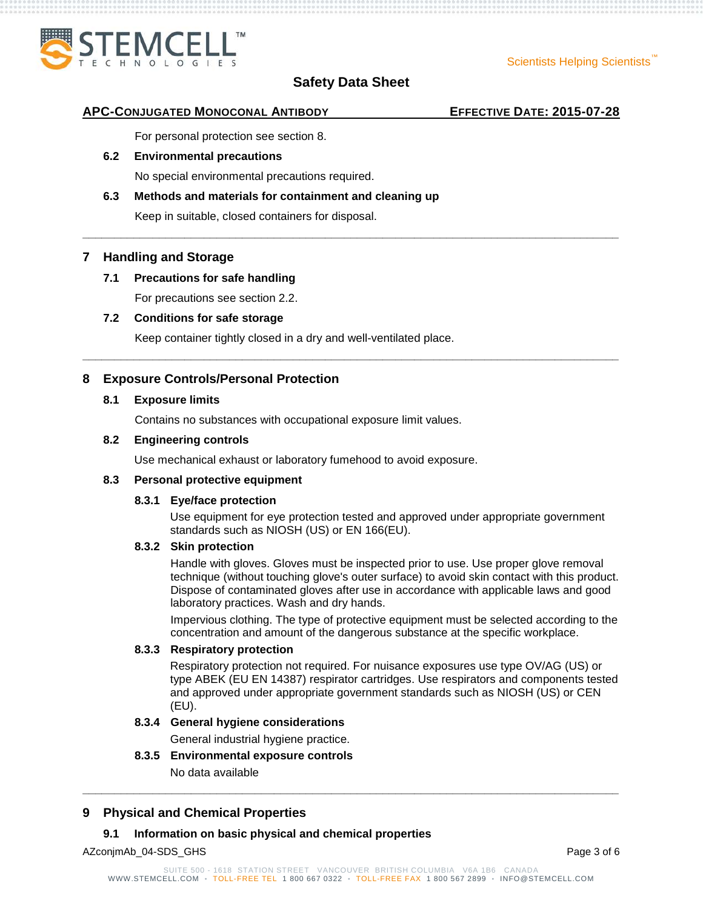

**\_\_\_\_\_\_\_\_\_\_\_\_\_\_\_\_\_\_\_\_\_\_\_\_\_\_\_\_\_\_\_\_\_\_\_\_\_\_\_\_\_\_\_\_\_\_\_\_\_\_\_\_\_\_\_\_\_\_\_\_\_\_\_\_\_\_\_\_\_\_\_\_\_\_\_\_\_\_\_\_\_\_\_\_**

**\_\_\_\_\_\_\_\_\_\_\_\_\_\_\_\_\_\_\_\_\_\_\_\_\_\_\_\_\_\_\_\_\_\_\_\_\_\_\_\_\_\_\_\_\_\_\_\_\_\_\_\_\_\_\_\_\_\_\_\_\_\_\_\_\_\_\_\_\_\_\_\_\_\_\_\_\_\_\_\_\_\_\_\_**

#### **APC-CONJUGATED MONOCONAL ANTIBODY EFFECTIVE DATE: 2015-07-28**

For personal protection see section 8.

#### **6.2 Environmental precautions**

No special environmental precautions required.

# **6.3 Methods and materials for containment and cleaning up**

Keep in suitable, closed containers for disposal.

# **7 Handling and Storage**

#### **7.1 Precautions for safe handling**

For precautions see section 2.2.

#### **7.2 Conditions for safe storage**

Keep container tightly closed in a dry and well-ventilated place.

# **8 Exposure Controls/Personal Protection**

#### **8.1 Exposure limits**

Contains no substances with occupational exposure limit values.

#### **8.2 Engineering controls**

Use mechanical exhaust or laboratory fumehood to avoid exposure.

#### **8.3 Personal protective equipment**

#### **8.3.1 Eye/face protection**

Use equipment for eye protection tested and approved under appropriate government standards such as NIOSH (US) or EN 166(EU).

#### **8.3.2 Skin protection**

Handle with gloves. Gloves must be inspected prior to use. Use proper glove removal technique (without touching glove's outer surface) to avoid skin contact with this product. Dispose of contaminated gloves after use in accordance with applicable laws and good laboratory practices. Wash and dry hands.

Impervious clothing. The type of protective equipment must be selected according to the concentration and amount of the dangerous substance at the specific workplace.

### **8.3.3 Respiratory protection**

Respiratory protection not required. For nuisance exposures use type OV/AG (US) or type ABEK (EU EN 14387) respirator cartridges. Use respirators and components tested and approved under appropriate government standards such as NIOSH (US) or CEN (EU).

# **8.3.4 General hygiene considerations**

General industrial hygiene practice.

#### **8.3.5 Environmental exposure controls**

No data available

# **9 Physical and Chemical Properties**

#### **9.1 Information on basic physical and chemical properties**

AZconjmAb\_04-SDS\_GHS Page 3 of 6

**\_\_\_\_\_\_\_\_\_\_\_\_\_\_\_\_\_\_\_\_\_\_\_\_\_\_\_\_\_\_\_\_\_\_\_\_\_\_\_\_\_\_\_\_\_\_\_\_\_\_\_\_\_\_\_\_\_\_\_\_\_\_\_\_\_\_\_\_\_\_\_\_\_\_\_\_\_\_\_\_\_\_\_\_**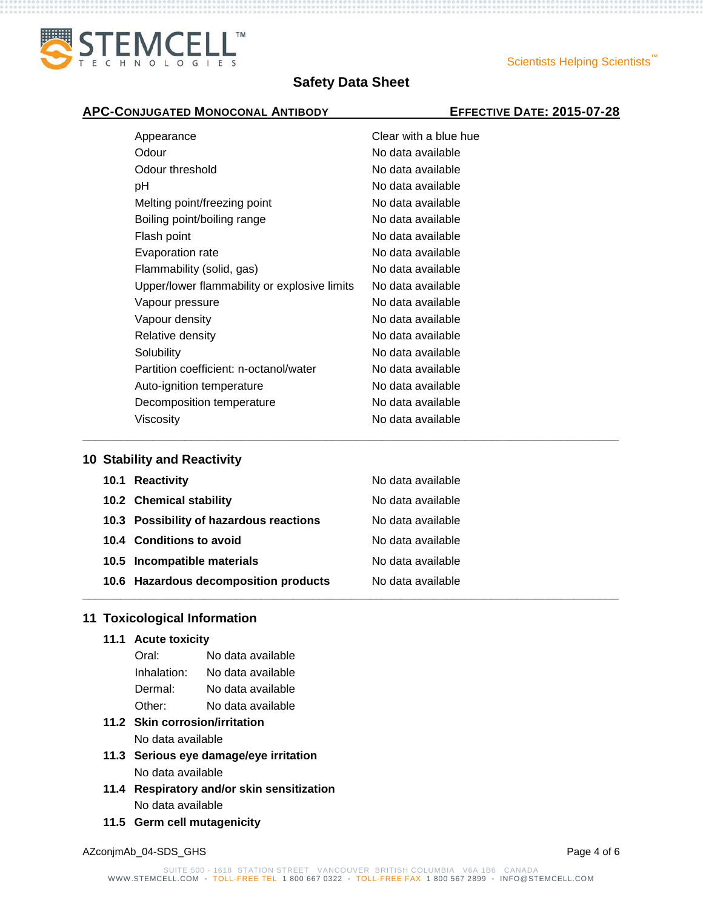

**\_\_\_\_\_\_\_\_\_\_\_\_\_\_\_\_\_\_\_\_\_\_\_\_\_\_\_\_\_\_\_\_\_\_\_\_\_\_\_\_\_\_\_\_\_\_\_\_\_\_\_\_\_\_\_\_\_\_\_\_\_\_\_\_\_\_\_\_\_\_\_\_\_\_\_\_\_\_\_\_\_\_\_\_**

# **APC-CONJUGATED MONOCONAL ANTIBODY EFFECTIVE DATE: 2015-07-28**

| Appearance                                   | Clear with a blue hue |
|----------------------------------------------|-----------------------|
| Odour                                        | No data available     |
| Odour threshold                              | No data available     |
| рH                                           | No data available     |
| Melting point/freezing point                 | No data available     |
| Boiling point/boiling range                  | No data available     |
| Flash point                                  | No data available     |
| Evaporation rate                             | No data available     |
| Flammability (solid, gas)                    | No data available     |
| Upper/lower flammability or explosive limits | No data available     |
| Vapour pressure                              | No data available     |
| Vapour density                               | No data available     |
| Relative density                             | No data available     |
| Solubility                                   | No data available     |
| Partition coefficient: n-octanol/water       | No data available     |
| Auto-ignition temperature                    | No data available     |
| Decomposition temperature                    | No data available     |
| Viscosity                                    | No data available     |

# **10 Stability and Reactivity**

| 10.1 Reactivity                         | No data available |
|-----------------------------------------|-------------------|
| 10.2 Chemical stability                 | No data available |
| 10.3 Possibility of hazardous reactions | No data available |
| 10.4 Conditions to avoid                | No data available |
| 10.5 Incompatible materials             | No data available |
| 10.6 Hazardous decomposition products   | No data available |
|                                         |                   |

# **11 Toxicological Information**

**11.1 Acute toxicity**

| Oral:       | No data available |
|-------------|-------------------|
| Inhalation: | No data available |
| Dermal:     | No data available |
| Other:      | No data available |

# **11.2 Skin corrosion/irritation**

No data available

- **11.3 Serious eye damage/eye irritation** No data available
- **11.4 Respiratory and/or skin sensitization** No data available
- **11.5 Germ cell mutagenicity**

AZconjmAb\_04-SDS\_GHS Page 4 of 6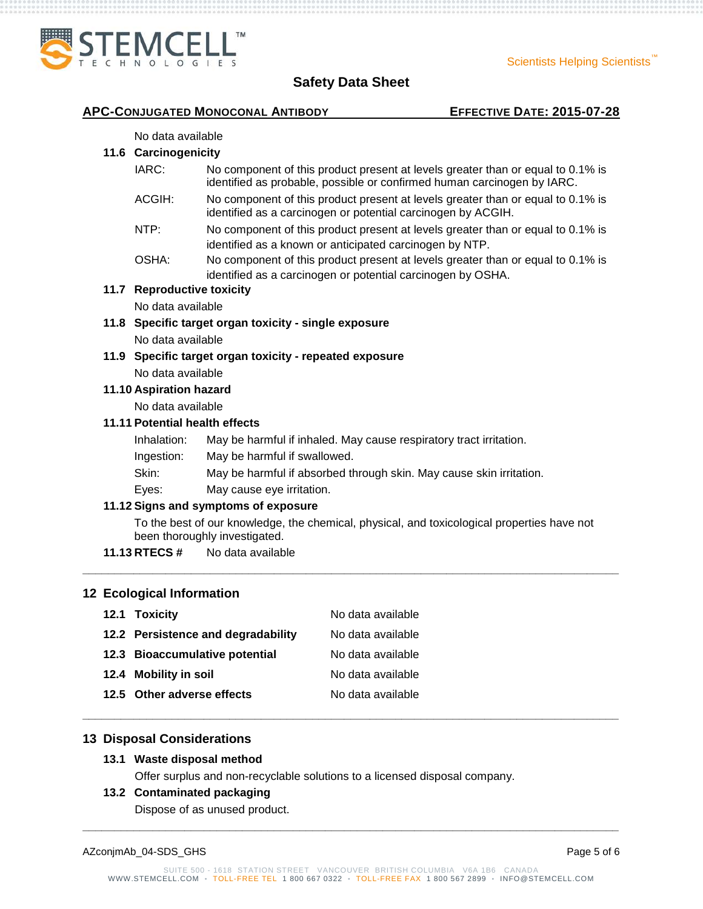

#### **APC-CONJUGATED MONOCONAL ANTIBODY EFFECTIVE DATE: 2015-07-28**

#### No data available

# **11.6 Carcinogenicity**

- IARC: No component of this product present at levels greater than or equal to 0.1% is identified as probable, possible or confirmed human carcinogen by IARC.
- ACGIH: No component of this product present at levels greater than or equal to 0.1% is identified as a carcinogen or potential carcinogen by ACGIH.
- NTP: No component of this product present at levels greater than or equal to 0.1% is identified as a known or anticipated carcinogen by NTP.
- OSHA: No component of this product present at levels greater than or equal to 0.1% is identified as a carcinogen or potential carcinogen by OSHA.

# **11.7 Reproductive toxicity**

No data available

- **11.8 Specific target organ toxicity - single exposure** No data available
- **11.9 Specific target organ toxicity - repeated exposure** No data available

#### **11.10 Aspiration hazard**

No data available

# **11.11 Potential health effects**

- Inhalation: May be harmful if inhaled. May cause respiratory tract irritation.
- Ingestion: May be harmful if swallowed.
- Skin: May be harmful if absorbed through skin. May cause skin irritation.
- Eyes: May cause eye irritation.

# **11.12 Signs and symptoms of exposure**

To the best of our knowledge, the chemical, physical, and toxicological properties have not been thoroughly investigated.

**\_\_\_\_\_\_\_\_\_\_\_\_\_\_\_\_\_\_\_\_\_\_\_\_\_\_\_\_\_\_\_\_\_\_\_\_\_\_\_\_\_\_\_\_\_\_\_\_\_\_\_\_\_\_\_\_\_\_\_\_\_\_\_\_\_\_\_\_\_\_\_\_\_\_\_\_\_\_\_\_\_\_\_\_**

**\_\_\_\_\_\_\_\_\_\_\_\_\_\_\_\_\_\_\_\_\_\_\_\_\_\_\_\_\_\_\_\_\_\_\_\_\_\_\_\_\_\_\_\_\_\_\_\_\_\_\_\_\_\_\_\_\_\_\_\_\_\_\_\_\_\_\_\_\_\_\_\_\_\_\_\_\_\_\_\_\_\_\_\_**

**\_\_\_\_\_\_\_\_\_\_\_\_\_\_\_\_\_\_\_\_\_\_\_\_\_\_\_\_\_\_\_\_\_\_\_\_\_\_\_\_\_\_\_\_\_\_\_\_\_\_\_\_\_\_\_\_\_\_\_\_\_\_\_\_\_\_\_\_\_\_\_\_\_\_\_\_\_\_\_\_\_\_\_\_**

**11.13 RTECS #** No data available

# **12 Ecological Information**

| 12.1 Toxicity                      | No data available |
|------------------------------------|-------------------|
| 12.2 Persistence and degradability | No data available |
| 12.3 Bioaccumulative potential     | No data available |
| 12.4 Mobility in soil              | No data available |
| 12.5 Other adverse effects         | No data available |

# **13 Disposal Considerations**

#### **13.1 Waste disposal method**

Offer surplus and non-recyclable solutions to a licensed disposal company.

#### **13.2 Contaminated packaging**

Dispose of as unused product.

| AZconjmAb_04-SDS_GHS | Page 5 of 6 |
|----------------------|-------------|
|----------------------|-------------|